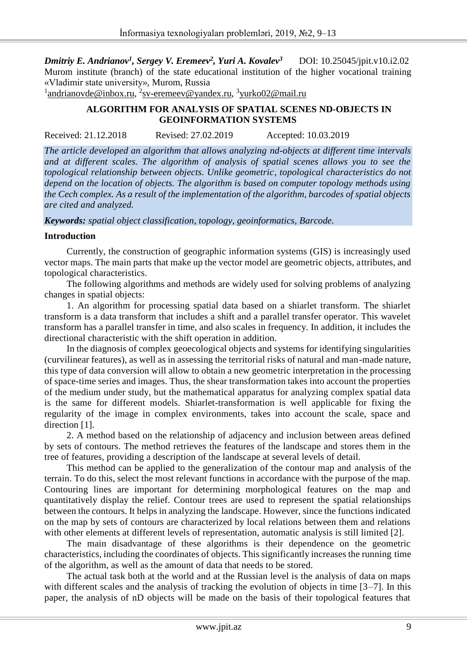*Dmitriy E. Andrianov<sup>1</sup> , Sergey V. Eremeev<sup>2</sup> , Yuri A. Kovalev<sup>3</sup>* DOI: 10.25045/jpit.v10.i2.02 Murom institute (branch) of the state educational institution of the higher vocational training «Vladimir state university», Murom, Russia

<sup>1</sup> andrianovde@inbox.ru, <sup>2</sup>sv-eremeev@yandex.ru, <sup>3</sup>yurko02@mail.ru

#### **ALGORITHM FOR ANALYSIS OF SPATIAL SCENES ND-OBJECTS IN GEOINFORMATION SYSTEMS**

Received: 21.12.2018 Revised: 27.02.2019 Accepted: 10.03.2019

*The article developed an algorithm that allows analyzing nd-objects at different time intervals and at different scales. The algorithm of analysis of spatial scenes allows you to see the topological relationship between objects. Unlike geometric, topological characteristics do not depend on the location of objects. The algorithm is based on computer topology methods using the Cech complex. As a result of the implementation of the algorithm, barcodes of spatial objects are cited and analyzed.*

#### *Keywords: spatial object classification, topology, geoinformatics, Barcode.*

#### **Introduction**

Currently, the construction of geographic information systems (GIS) is increasingly used vector maps. The main parts that make up the vector model are geometric objects, attributes, and topological characteristics.

The following algorithms and methods are widely used for solving problems of analyzing changes in spatial objects:

1. An algorithm for processing spatial data based on a shiarlet transform. The shiarlet transform is a data transform that includes a shift and a parallel transfer operator. This wavelet transform has a parallel transfer in time, and also scales in frequency. In addition, it includes the directional characteristic with the shift operation in addition.

In the diagnosis of complex geoecological objects and systems for identifying singularities (curvilinear features), as well as in assessing the territorial risks of natural and man-made nature, this type of data conversion will allow to obtain a new geometric interpretation in the processing of space-time series and images. Thus, the shear transformation takes into account the properties of the medium under study, but the mathematical apparatus for analyzing complex spatial data is the same for different models. Shiarlet-transformation is well applicable for fixing the regularity of the image in complex environments, takes into account the scale, space and direction [1].

2. A method based on the relationship of adjacency and inclusion between areas defined by sets of contours. The method retrieves the features of the landscape and stores them in the tree of features, providing a description of the landscape at several levels of detail.

This method can be applied to the generalization of the contour map and analysis of the terrain. To do this, select the most relevant functions in accordance with the purpose of the map. Contouring lines are important for determining morphological features on the map and quantitatively display the relief. Contour trees are used to represent the spatial relationships between the contours. It helps in analyzing the landscape. However, since the functions indicated on the map by sets of contours are characterized by local relations between them and relations with other elements at different levels of representation, automatic analysis is still limited [2].

The main disadvantage of these algorithms is their dependence on the geometric characteristics, including the coordinates of objects. This significantly increases the running time of the algorithm, as well as the amount of data that needs to be stored.

The actual task both at the world and at the Russian level is the analysis of data on maps with different scales and the analysis of tracking the evolution of objects in time [3–7]. In this paper, the analysis of nD objects will be made on the basis of their topological features that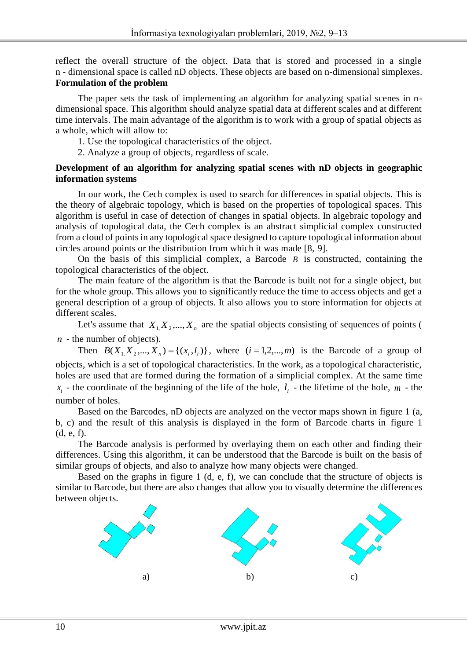reflect the overall structure of the object. Data that is stored and processed in a single n - dimensional space is called nD objects. These objects are based on n-dimensional simplexes. **Formulation of the problem**

The paper sets the task of implementing an algorithm for analyzing spatial scenes in ndimensional space. This algorithm should analyze spatial data at different scales and at different time intervals. The main advantage of the algorithm is to work with a group of spatial objects as a whole, which will allow to:

1. Use the topological characteristics of the object.

2. Analyze a group of objects, regardless of scale.

#### **Development of an algorithm for analyzing spatial scenes with nD objects in geographic information systems**

In our work, the Cech complex is used to search for differences in spatial objects. This is the theory of algebraic topology, which is based on the properties of topological spaces. This algorithm is useful in case of detection of changes in spatial objects. In algebraic topology and analysis of topological data, the Cech complex is an abstract simplicial complex constructed from a cloud of points in any topological space designed to capture topological information about circles around points or the distribution from which it was made [8, 9].

On the basis of this simplicial complex, a Barcode  $B$  is constructed, containing the topological characteristics of the object.

The main feature of the algorithm is that the Barcode is built not for a single object, but for the whole group. This allows you to significantly reduce the time to access objects and get a general description of a group of objects. It also allows you to store information for objects at different scales.

Let's assume that  $X_1, X_2, ..., X_n$  are the spatial objects consisting of sequences of points ( *n* - the number of objects).

Then  $B(X_1, X_2, ..., X_n) = \{(x_i, l_i)\}\$ , where  $(i = 1, 2, ..., m)$  is the Barcode of a group of objects, which is a set of topological characteristics. In the work, as a topological characteristic, holes are used that are formed during the formation of a simplicial complex. At the same time  $x_i$  - the coordinate of the beginning of the life of the hole,  $l_i$  - the lifetime of the hole,  $m$  - the number of holes.

Based on the Barcodes, nD objects are analyzed on the vector maps shown in figure 1 (a, b, c) and the result of this analysis is displayed in the form of Barcode charts in figure 1 (d, e, f).

The Barcode analysis is performed by overlaying them on each other and finding their differences. Using this algorithm, it can be understood that the Barcode is built on the basis of similar groups of objects, and also to analyze how many objects were changed.

Based on the graphs in figure 1 (d, e, f), we can conclude that the structure of objects is similar to Barcode, but there are also changes that allow you to visually determine the differences between objects.

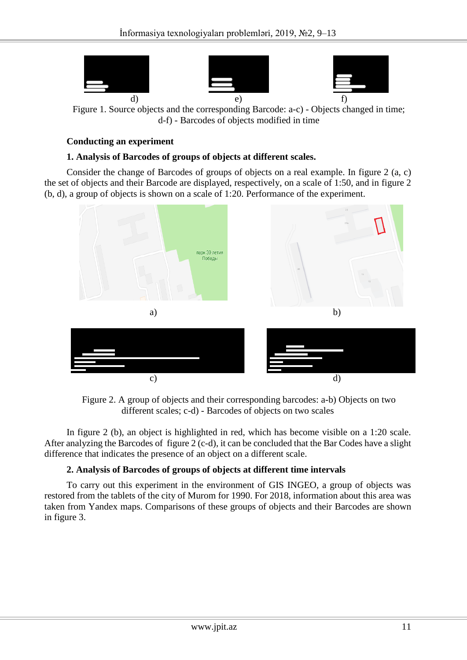

Figure 1. Source objects and the corresponding Barcode: a-c) - Objects changed in time; d-f) - Barcodes of objects modified in time

## **Conducting an experiment**

## **1. Analysis of Barcodes of groups of objects at different scales.**

Consider the change of Barcodes of groups of objects on a real example. In figure 2 (a, c) the set of objects and their Barcode are displayed, respectively, on a scale of 1:50, and in figure 2 (b, d), a group of objects is shown on a scale of 1:20. Performance of the experiment.



Figure 2. A group of objects and their corresponding barcodes: a-b) Objects on two different scales; c-d) - Barcodes of objects on two scales

In figure 2 (b), an object is highlighted in red, which has become visible on a 1:20 scale. After analyzing the Barcodes of figure 2 (c-d), it can be concluded that the Bar Codes have a slight difference that indicates the presence of an object on a different scale.

# **2. Analysis of Barcodes of groups of objects at different time intervals**

To carry out this experiment in the environment of GIS INGEO, a group of objects was restored from the tablets of the city of Murom for 1990. For 2018, information about this area was taken from Yandex maps. Comparisons of these groups of objects and their Barcodes are shown in figure 3.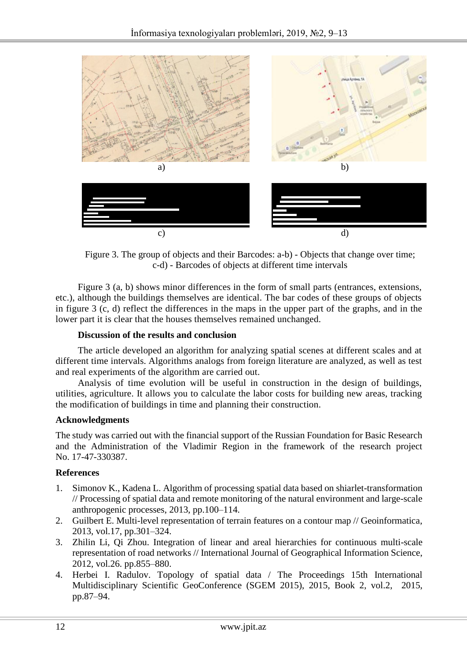

Figure 3. The group of objects and their Barcodes: a-b) - Objects that change over time; c-d) - Barcodes of objects at different time intervals

Figure 3 (a, b) shows minor differences in the form of small parts (entrances, extensions, etc.), although the buildings themselves are identical. The bar codes of these groups of objects in figure 3 (c, d) reflect the differences in the maps in the upper part of the graphs, and in the lower part it is clear that the houses themselves remained unchanged.

## **Discussion of the results and conclusion**

The article developed an algorithm for analyzing spatial scenes at different scales and at different time intervals. Algorithms analogs from foreign literature are analyzed, as well as test and real experiments of the algorithm are carried out.

Analysis of time evolution will be useful in construction in the design of buildings, utilities, agriculture. It allows you to calculate the labor costs for building new areas, tracking the modification of buildings in time and planning their construction.

#### **Acknowledgments**

The study was carried out with the financial support of the Russian Foundation for Basic Research and the Administration of the Vladimir Region in the framework of the research project No. 17-47-330387.

# **References**

- 1. Simonov K., Kadena L. Algorithm of processing spatial data based on shiarlet-transformation // Processing of spatial data and remote monitoring of the natural environment and large-scale anthropogenic processes, 2013, pp.100–114.
- 2. Guilbert E. Multi-level representation of terrain features on a contour map // Geoinformatica, 2013, vol.17, pp.301–324.
- 3. Zhilin Li, Qi Zhou. Integration of linear and areal hierarchies for continuous multi-scale representation of road networks // International Journal of Geographical Information Science, 2012, vol.26. pp.855–880.
- 4. Herbei I. Radulov. Topology of spatial data / The Proceedings 15th International Multidisciplinary Scientific GeoConference (SGEM 2015), 2015, Book 2, vol.2, 2015, pp.87–94.